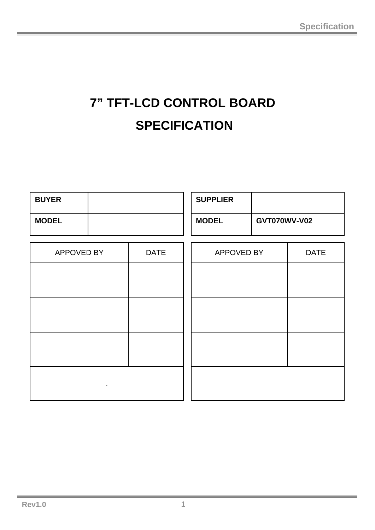# **7" TFT-LCD CONTROL BOARD SPECIFICATION**

| <b>BUYER</b>   |             | <b>SUPPLIER</b> |              |             |
|----------------|-------------|-----------------|--------------|-------------|
| <b>MODEL</b>   |             | <b>MODEL</b>    | GVT070WV-V02 |             |
| APPOVED BY     | <b>DATE</b> | APPOVED BY      |              | <b>DATE</b> |
|                |             |                 |              |             |
|                |             |                 |              |             |
|                |             |                 |              |             |
|                |             |                 |              |             |
| $\blacksquare$ |             |                 |              |             |
|                |             |                 |              |             |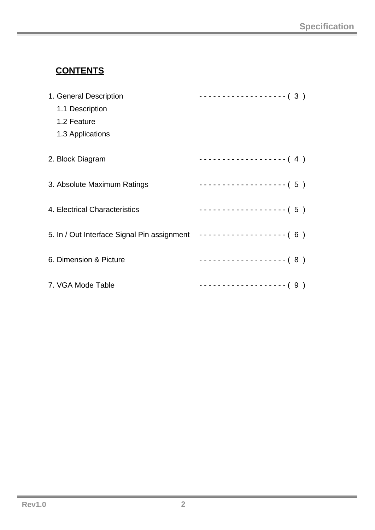# **CONTENTS**

| 1. General Description                                             | $------------(3)$                           |
|--------------------------------------------------------------------|---------------------------------------------|
| 1.1 Description                                                    |                                             |
| 1.2 Feature                                                        |                                             |
| 1.3 Applications                                                   |                                             |
| 2. Block Diagram                                                   | -------------------- (4)                    |
| 3. Absolute Maximum Ratings                                        | -------------------- (5)                    |
| 4. Electrical Characteristics                                      | $-$ - - - - - - - - - - - - - - - - - - (5) |
| 5. In / Out Interface Signal Pin assignment ------------------ (6) |                                             |
| 6. Dimension & Picture                                             |                                             |
| 7. VGA Mode Table                                                  | -------------------- ( 9 )                  |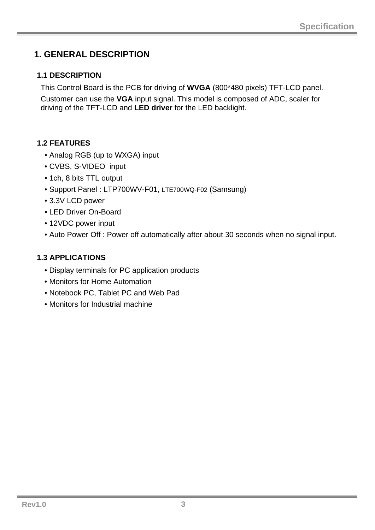## **1. GENERAL DESCRIPTION**

#### **1.1 DESCRIPTION**

This Control Board is the PCB for driving of **WVGA** (800\*480 pixels) TFT-LCD panel. Customer can use the **VGA** input signal. This model is composed of ADC, scaler for driving of the TFT-LCD and **LED driver** for the LED backlight.

### **1.2 FEATURES**

- Analog RGB (up to WXGA) input
- CVBS, S-VIDEO input
- 1ch, 8 bits TTL output
- Support Panel : LTP700WV-F01, LTE700WQ-F02 (Samsung)
- 3.3V LCD power
- LED Driver On-Board
- 12VDC power input
- Auto Power Off : Power off automatically after about 30 seconds when no signal input.

### **1.3 APPLICATIONS**

- Display terminals for PC application products
- Monitors for Home Automation
- Notebook PC, Tablet PC and Web Pad
- Monitors for Industrial machine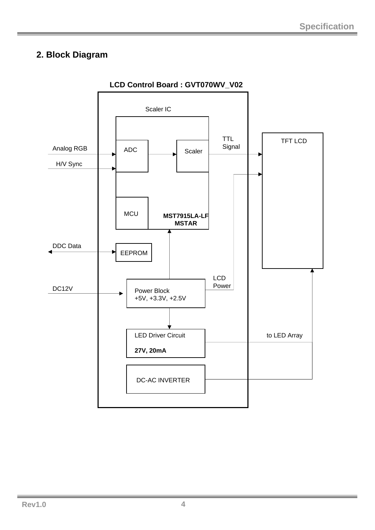## **2. Block Diagram**

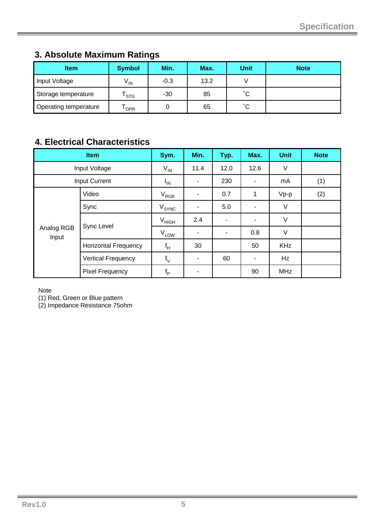| <b>Item</b>           | <b>Symbol</b> | Min.   | Max. | <b>Unit</b>  | <b>Note</b> |
|-----------------------|---------------|--------|------|--------------|-------------|
| Input Voltage         | $V_{IN}$      | $-0.3$ | 13.2 |              |             |
| Storage temperature   | <b>STG</b>    | $-30$  | 85   | $^{\circ}$ C |             |
| Operating temperature | <b>OPR</b>    |        | 65   | $^{\circ}$ C |             |

## **3. Absolute Maximum Ratings**

## **4. Electrical Characteristics**

|                     | <b>Item</b>                 | Sym.        | Min. | Typ. | Max. | <b>Unit</b> | <b>Note</b> |
|---------------------|-----------------------------|-------------|------|------|------|-------------|-------------|
|                     | Input Voltage               | $V_{IN}$    | 11.4 | 12.0 | 12.6 | V           |             |
|                     | <b>Input Current</b>        | $I_{IN}$    | ۰    | 230  | ۰    | (1)<br>mA   |             |
|                     | Video                       | $V_{RGB}$   |      | 0.7  | 1    | $Vp-p$      | (2)         |
|                     | Sync                        | $V_{SYNC}$  |      | 5.0  |      | V           |             |
|                     |                             | $V_{HIGH}$  | 2.4  | ۰    |      | V           |             |
| Analog RGB<br>Input | Sync Level                  | $V_{LOW}$   |      | ۰    | 0.8  | V           |             |
|                     | <b>Horizontal Frequency</b> | $f_H$       | 30   |      | 50   | <b>KHz</b>  |             |
|                     | <b>Vertical Frequency</b>   | $f_V$       | ٠    | 60   | ۰    | Hz          |             |
|                     | <b>Pixel Frequency</b>      | $f_{\rm p}$ |      |      | 90   | <b>MHz</b>  |             |

Note

(1) Red, Green or Blue pattern

(2) Impedance Resistance 75ohm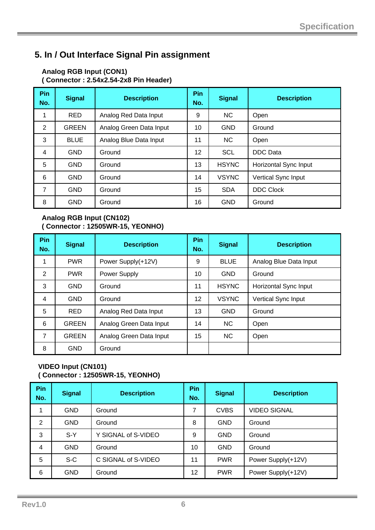## **5. In / Out Interface Signal Pin assignment**

#### **Analog RGB Input (CON1) ( Connector : 2.54x2.54-2x8 Pin Header)**

| Pin<br>No.     | <b>Signal</b> | <b>Description</b>      | Pin<br>No. | <b>Signal</b> | <b>Description</b>    |
|----------------|---------------|-------------------------|------------|---------------|-----------------------|
| 1              | <b>RED</b>    | Analog Red Data Input   | 9          | <b>NC</b>     | Open                  |
| 2              | <b>GREEN</b>  | Analog Green Data Input | 10         | <b>GND</b>    | Ground                |
| 3              | <b>BLUE</b>   | Analog Blue Data Input  | 11         | <b>NC</b>     | Open                  |
| 4              | <b>GND</b>    | Ground                  | 12         | <b>SCL</b>    | DDC Data              |
| 5              | <b>GND</b>    | Ground                  | 13         | <b>HSYNC</b>  | Horizontal Sync Input |
| 6              | <b>GND</b>    | Ground                  | 14         | <b>VSYNC</b>  | Vertical Sync Input   |
| $\overline{7}$ | <b>GND</b>    | Ground                  | 15         | <b>SDA</b>    | <b>DDC Clock</b>      |
| 8              | <b>GND</b>    | Ground                  | 16         | <b>GND</b>    | Ground                |

#### **Analog RGB Input (CN102) ( Connector : 12505WR-15, YEONHO)**

| Pin<br>No. | <b>Signal</b> | <b>Description</b>      | Pin<br>No. | <b>Signal</b> | <b>Description</b>     |
|------------|---------------|-------------------------|------------|---------------|------------------------|
| 1          | <b>PWR</b>    | Power Supply(+12V)      | 9          | <b>BLUE</b>   | Analog Blue Data Input |
| 2          | <b>PWR</b>    | Power Supply            | 10         | <b>GND</b>    | Ground                 |
| 3          | <b>GND</b>    | Ground                  | 11         | <b>HSYNC</b>  | Horizontal Sync Input  |
| 4          | <b>GND</b>    | Ground                  | 12         | <b>VSYNC</b>  | Vertical Sync Input    |
| 5          | <b>RED</b>    | Analog Red Data Input   | 13         | <b>GND</b>    | Ground                 |
| 6          | <b>GREEN</b>  | Analog Green Data Input | 14         | <b>NC</b>     | Open                   |
| 7          | <b>GREEN</b>  | Analog Green Data Input | 15         | <b>NC</b>     | Open                   |
| 8          | <b>GND</b>    | Ground                  |            |               |                        |

#### **VIDEO Input (CN101) ( Connector : 12505WR-15, YEONHO)**

| Pin<br>No. | <b>Signal</b> | <b>Description</b>  | Pin<br>No. | <b>Signal</b> | <b>Description</b>  |
|------------|---------------|---------------------|------------|---------------|---------------------|
| 1          | <b>GND</b>    | Ground              | 7          | <b>CVBS</b>   | <b>VIDEO SIGNAL</b> |
| 2          | <b>GND</b>    | Ground              | 8          | <b>GND</b>    | Ground              |
| 3          | $S-Y$         | Y SIGNAL of S-VIDEO | 9          | <b>GND</b>    | Ground              |
| 4          | <b>GND</b>    | Ground              | 10         | <b>GND</b>    | Ground              |
| 5          | $S-C$         | C SIGNAL of S-VIDEO | 11         | <b>PWR</b>    | Power Supply(+12V)  |
| 6          | <b>GND</b>    | Ground              | 12         | <b>PWR</b>    | Power Supply(+12V)  |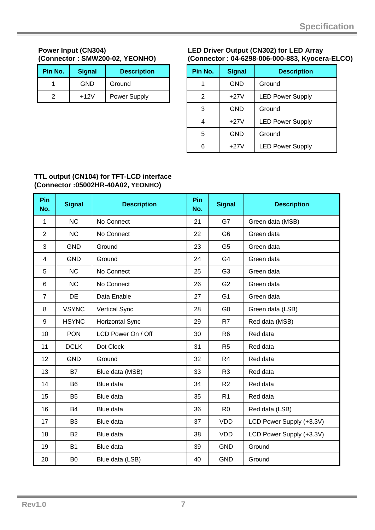#### **Power Input (CN304) (Connector : SMW200-02, YEONHO)**

| Pin No. | <b>Signal</b> | <b>Description</b>  |
|---------|---------------|---------------------|
|         | <b>GND</b>    | Ground              |
|         | $+12V$        | <b>Power Supply</b> |

#### **LED Driver Output (CN302) for LED Array (Connector : 04-6298-006-000-883, Kyocera-ELCO)**

| Pin No. | <b>Signal</b> | <b>Description</b>      |
|---------|---------------|-------------------------|
|         | GND           | Ground                  |
| 2       | $+27V$        | <b>LED Power Supply</b> |
| 3       | GND           | Ground                  |
| 4       | $+27V$        | <b>LED Power Supply</b> |
| 5       | <b>GND</b>    | Ground                  |
| հ       | $+27V$        | <b>LED Power Supply</b> |

#### **TTL output (CN104) for TFT-LCD interface (Connector :05002HR-40A02, YEONHO)**

| Pin<br>No.     | <b>Signal</b>  | <b>Description</b>   | <b>Pin</b><br>No. | <b>Signal</b>  | <b>Description</b>       |
|----------------|----------------|----------------------|-------------------|----------------|--------------------------|
| 1              | <b>NC</b>      | No Connect           | 21                | G7             | Green data (MSB)         |
| $\overline{2}$ | <b>NC</b>      | No Connect           | 22                | G <sub>6</sub> | Green data               |
| 3              | <b>GND</b>     | Ground               | 23                | G <sub>5</sub> | Green data               |
| 4              | <b>GND</b>     | Ground               | 24                | G4             | Green data               |
| 5              | <b>NC</b>      | No Connect           | 25                | G <sub>3</sub> | Green data               |
| 6              | <b>NC</b>      | No Connect           | 26                | G <sub>2</sub> | Green data               |
| $\overline{7}$ | DE             | Data Enable          | 27                | G <sub>1</sub> | Green data               |
| 8              | <b>VSYNC</b>   | <b>Vertical Sync</b> | 28                | G <sub>0</sub> | Green data (LSB)         |
| 9              | <b>HSYNC</b>   | Horizontal Sync      | 29                | R7             | Red data (MSB)           |
| 10             | <b>PON</b>     | LCD Power On / Off   | 30                | R <sub>6</sub> | Red data                 |
| 11             | <b>DCLK</b>    | Dot Clock            | 31                | R <sub>5</sub> | Red data                 |
| 12             | <b>GND</b>     | Ground               | 32                | R <sub>4</sub> | Red data                 |
| 13             | <b>B7</b>      | Blue data (MSB)      | 33                | R <sub>3</sub> | Red data                 |
| 14             | B <sub>6</sub> | Blue data            | 34                | R <sub>2</sub> | Red data                 |
| 15             | <b>B5</b>      | Blue data            | 35                | R <sub>1</sub> | Red data                 |
| 16             | <b>B4</b>      | Blue data            | 36                | R <sub>0</sub> | Red data (LSB)           |
| 17             | B <sub>3</sub> | Blue data            | 37                | <b>VDD</b>     | LCD Power Supply (+3.3V) |
| 18             | <b>B2</b>      | Blue data            | 38                | <b>VDD</b>     | LCD Power Supply (+3.3V) |
| 19             | <b>B1</b>      | Blue data            | 39                | <b>GND</b>     | Ground                   |
| 20             | B <sub>0</sub> | Blue data (LSB)      | 40                | <b>GND</b>     | Ground                   |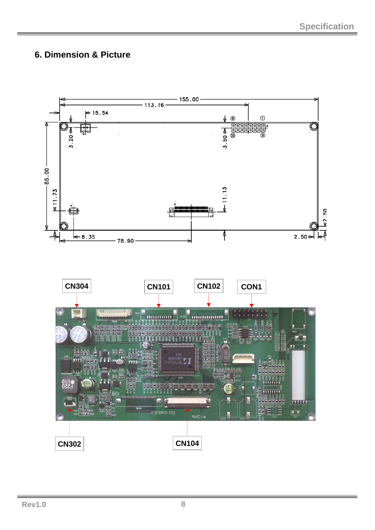## **6. Dimension & Picture**